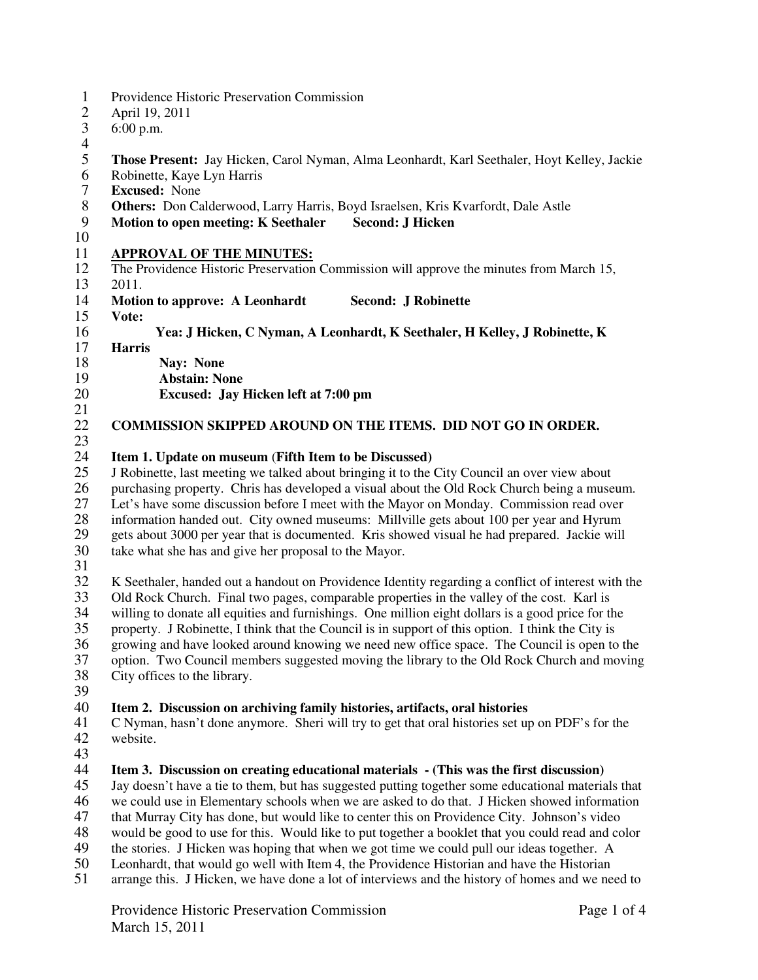- 1 Providence Historic Preservation Commission<br>2 April 19, 2011
- 2 April 19, 2011
- 3 6:00 p.m.
- $\frac{4}{5}$
- 5 **Those Present:** Jay Hicken, Carol Nyman, Alma Leonhardt, Karl Seethaler, Hoyt Kelley, Jackie
- 6 Robinette, Kaye Lyn Harris<br>7 Excused: None
- 7 **Excused:** None
- 8 **Others:** Don Calderwood, Larry Harris, Boyd Israelsen, Kris Kvarfordt, Dale Astle<br>9 **Motion to open meeting: K Seethaler Second: J Hicken**
- **Motion to open meeting: K Seethaler Second: J Hicken**
- 10

#### 11 **APPROVAL OF THE MINUTES:**

- 12 The Providence Historic Preservation Commission will approve the minutes from March 15, 13 2011.
- 14 **Motion to approve: A Leonhardt Second: J Robinette**
- 15 **Vote:**

## 16 **Yea: J Hicken, C Nyman, A Leonhardt, K Seethaler, H Kelley, J Robinette, K**

- 17 **Harris**
- 
- 18 **Nay: None**<br>19 **Abstain: No** 19 **Abstain: None**
- 20 **Excused: Jay Hicken left at 7:00 pm**
- $\frac{21}{22}$

### 22 **COMMISSION SKIPPED AROUND ON THE ITEMS. DID NOT GO IN ORDER.**

# $\frac{23}{24}$

24 **Item 1. Update on museum (Fifth Item to be Discussed)**<br>25 **J** Robinette. last meeting we talked about bringing it to the 25 J Robinette, last meeting we talked about bringing it to the City Council an over view about 26 purchasing property. Chris has developed a visual about the Old Rock Church being a museum.<br>27 Let's have some discussion before I meet with the Mayor on Monday. Commission read over 27 Let's have some discussion before I meet with the Mayor on Monday. Commission read over<br>28 information handed out. City owned museums: Millyille gets about 100 per year and Hyrum 28 information handed out. City owned museums: Millville gets about 100 per year and Hyrum<br>29 eets about 3000 per year that is documented. Kris showed visual he had prepared. Jackie will 29 gets about 3000 per year that is documented. Kris showed visual he had prepared. Jackie will take what she has and give her proposal to the Mayor. take what she has and give her proposal to the Mayor.

 $\frac{31}{32}$ 

32 K Seethaler, handed out a handout on Providence Identity regarding a conflict of interest with the 33 Old Rock Church. Final two pages, comparable properties in the valley of the cost. Karl is<br>34 willing to donate all equities and furnishings. One million eight dollars is a good price for the 34 willing to donate all equities and furnishings. One million eight dollars is a good price for the property. J Robinette, I think that the Council is in support of this option. I think the City is property. J Robinette, I think that the Council is in support of this option. I think the City is 36 growing and have looked around knowing we need new office space. The Council is open to the<br>37 option. Two Council members suggested moving the library to the Old Rock Church and moving 37 option. Two Council members suggested moving the library to the Old Rock Church and moving<br>38 City offices to the library. City offices to the library. 39

## 40 **Item 2. Discussion on archiving family histories, artifacts, oral histories** 41 C Nyman, hasn't done anymore. Sheri will try to get that oral histories set un

- 41 C Nyman, hasn't done anymore. Sheri will try to get that oral histories set up on PDF's for the website.
- 43<br>44

### **14 Item 3. Discussion on creating educational materials - (This was the first discussion)**<br>45 Jay doesn't have a tie to them, but has suggested putting together some educational materia

45 Jay doesn't have a tie to them, but has suggested putting together some educational materials that 46 we could use in Elementary schools when we are asked to do that. J Hicken showed information

- 46 we could use in Elementary schools when we are asked to do that. J Hicken showed information<br>47 that Murray City has done, but would like to center this on Providence City. Johnson's video
- 47 that Murray City has done, but would like to center this on Providence City. Johnson's video<br>48 would be good to use for this. Would like to put together a booklet that you could read and co
- would be good to use for this. Would like to put together a booklet that you could read and color
- 49 the stories. J Hicken was hoping that when we got time we could pull our ideas together. A
- 50 Leonhardt, that would go well with Item 4, the Providence Historian and have the Historian arrange this. J Hicken, we have done a lot of interviews and the history of homes and we ne
- 51 arrange this. J Hicken, we have done a lot of interviews and the history of homes and we need to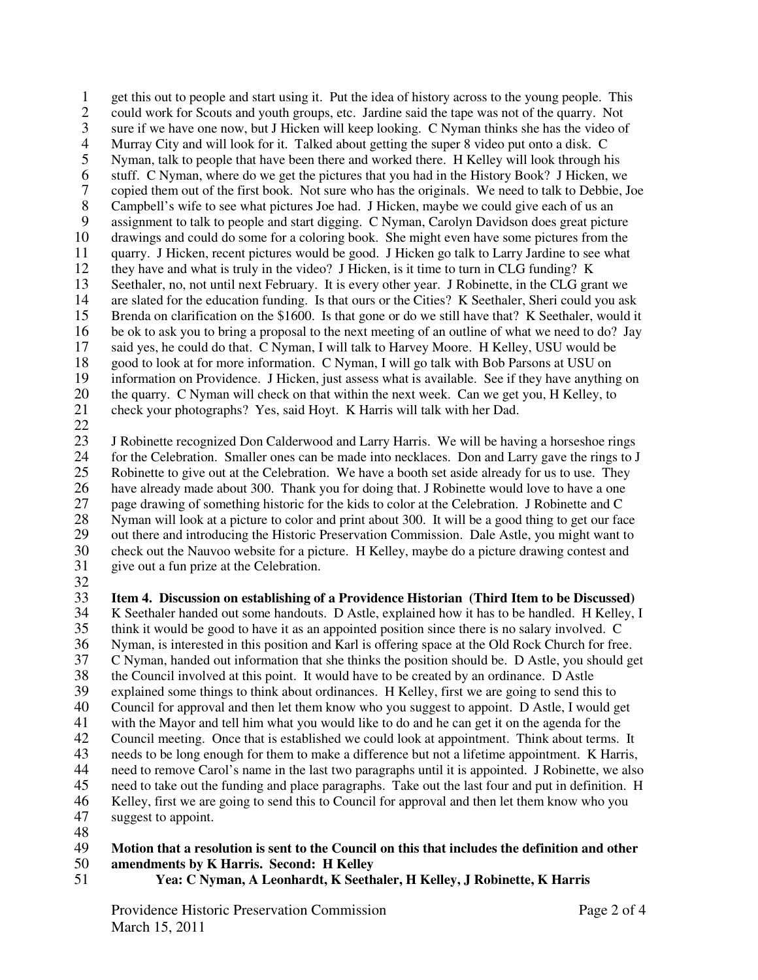1 get this out to people and start using it. Put the idea of history across to the young people. This could work for Scouts and youth groups, etc. Jardine said the tape was not of the quarry. Not 2 could work for Scouts and youth groups, etc. Jardine said the tape was not of the quarry. Not 3 sure if we have one now, but J Hicken will keep looking. C Nyman thinks she has the video of Murray City and will look for it. Talked about getting the super 8 video put onto a disk. C 4 Murray City and will look for it. Talked about getting the super 8 video put onto a disk. C<br>5 Nyman, talk to people that have been there and worked there. H Kelley will look through h 5 Nyman, talk to people that have been there and worked there. H Kelley will look through his 6 stuff. C Nyman, where do we get the pictures that you had in the History Book? J Hicken, we copied them out of the first book. Not sure who has the originals. We need to talk to Debbie. J 7 copied them out of the first book. Not sure who has the originals. We need to talk to Debbie, Joe<br>8 Campbell's wife to see what pictures Joe had. J Hicken, maybe we could give each of us an 8 Campbell's wife to see what pictures Joe had. J Hicken, maybe we could give each of us an assignment to talk to people and start digging. C Nyman, Carolyn Davidson does great pictu assignment to talk to people and start digging. C Nyman, Carolyn Davidson does great picture 10 drawings and could do some for a coloring book. She might even have some pictures from the 11 quarry. J Hicken, recent pictures would be good. J Hicken go talk to Larry Jardine to see what 12 they have and what is truly in the video? J Hicken, is it time to turn in CLG funding? K 13 Seethaler, no, not until next February. It is every other year. J Robinette, in the CLG grant we<br>14 are slated for the education funding. Is that ours or the Cities? K Seethaler. Sheri could you as 14 are slated for the education funding. Is that ours or the Cities? K Seethaler, Sheri could you ask<br>15 Brenda on clarification on the \$1600. Is that gone or do we still have that? K Seethaler, would it Brenda on clarification on the \$1600. Is that gone or do we still have that? K Seethaler, would it 16 be ok to ask you to bring a proposal to the next meeting of an outline of what we need to do? Jay 17 said yes, he could do that. C Nyman, I will talk to Harvey Moore. H Kelley, USU would be 18 good to look at for more information. C Nyman, I will go talk with Bob Parsons at USU on 19 information on Providence. J Hicken, just assess what is available. See if they have anything on 20 the quarry. C Nyman will check on that within the next week. Can we get you, H Kelley, to check your photographs? Yes, said Hoyt. K Harris will talk with her Dad. 21 check your photographs? Yes, said Hoyt. K Harris will talk with her Dad.

 $\frac{22}{23}$ 

23 J Robinette recognized Don Calderwood and Larry Harris. We will be having a horseshoe rings for the Celebration. Smaller ones can be made into necklaces. Don and Larry gave the rings to J 24 for the Celebration. Smaller ones can be made into necklaces. Don and Larry gave the rings to J<br>25 Robinette to give out at the Celebration. We have a booth set aside already for us to use. They Robinette to give out at the Celebration. We have a booth set aside already for us to use. They 26 have already made about 300. Thank you for doing that. J Robinette would love to have a one<br>27 page drawing of something historic for the kids to color at the Celebration. J Robinette and C 27 page drawing of something historic for the kids to color at the Celebration. J Robinette and C<br>28 Nyman will look at a picture to color and print about 300. It will be a good thing to get our factor 28 Nyman will look at a picture to color and print about 300. It will be a good thing to get our face<br>29 out there and introducing the Historic Preservation Commission. Dale Astle, you might want to 29 out there and introducing the Historic Preservation Commission. Dale Astle, you might want to<br>30 check out the Nauvoo website for a picture. H Kelley, maybe do a picture drawing contest and 30 check out the Nauvoo website for a picture. H Kelley, maybe do a picture drawing contest and give out a fun prize at the Celebration. give out a fun prize at the Celebration.

32<br>33

33 **Item 4. Discussion on establishing of a Providence Historian (Third Item to be Discussed)**  34 K Seethaler handed out some handouts. D Astle, explained how it has to be handled. H Kelley, I<br>35 think it would be good to have it as an appointed position since there is no salary involved. C 35 think it would be good to have it as an appointed position since there is no salary involved. C 36 Nyman, is interested in this position and Karl is offering space at the Old Rock Church for free.<br>37 C Nyman, handed out information that she thinks the position should be. D Astle, you should go 37 C Nyman, handed out information that she thinks the position should be. D Astle, you should get the Council involved at this point. It would have to be created by an ordinance. D Astle 38 the Council involved at this point. It would have to be created by an ordinance. D Astle 39 explained some things to think about ordinances. H Kelley, first we are going to send this to 40 Council for approval and then let them know who you suggest to appoint. D Astle, I would get 41 with the Mayor and tell him what you would like to do and he can get it on the agenda for the 42 Council meeting. Once that is established we could look at appointment. Think about terms. 42 Council meeting. Once that is established we could look at appointment. Think about terms. It 43 needs to be long enough for them to make a difference but not a lifetime appointment. K Harris,<br>44 need to remove Carol's name in the last two paragraphs until it is appointed. J Robinette, we also 44 need to remove Carol's name in the last two paragraphs until it is appointed. J Robinette, we also<br>45 need to take out the funding and place paragraphs. Take out the last four and put in definition. H 45 need to take out the funding and place paragraphs. Take out the last four and put in definition. H<br>46 Kellev, first we are going to send this to Council for approval and then let them know who you 46 Kelley, first we are going to send this to Council for approval and then let them know who you<br>47 suggest to appoint. suggest to appoint.

48

### 49 **Motion that a resolution is sent to the Council on this that includes the definition and other**

- 50 **amendments by K Harris. Second: H Kelley**
- 51 **Yea: C Nyman, A Leonhardt, K Seethaler, H Kelley, J Robinette, K Harris**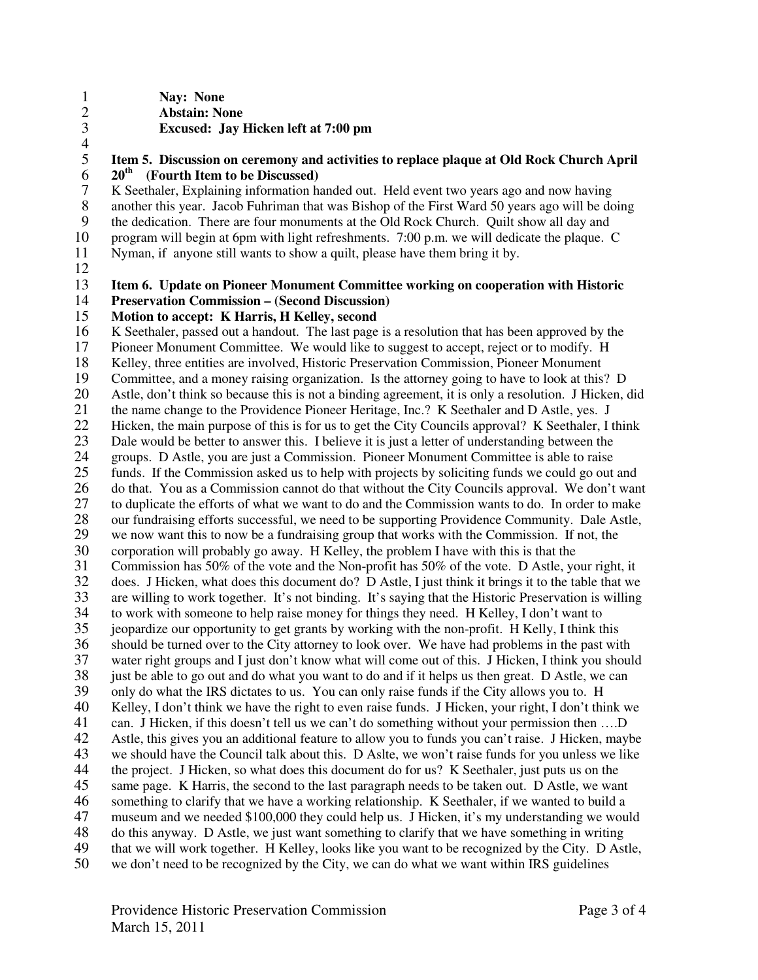1 **Nay: None**  2 **Abstain: None**  3 **Excused: Jay Hicken left at 7:00 pm** 

 $\frac{4}{5}$ 

# 5 **Item 5. Discussion on ceremony and activities to replace plaque at Old Rock Church April**

 $20^{\text{th}}$  (Fourth Item to be Discussed)<br> **2** K Seethaler, Explaining information has 7 K Seethaler, Explaining information handed out. Held event two years ago and now having<br>8 another this year. Jacob Fuhriman that was Bishop of the First Ward 50 years ago will be do 8 another this year. Jacob Fuhriman that was Bishop of the First Ward 50 years ago will be doing<br>9 the dedication. There are four monuments at the Old Rock Church. Ouilt show all day and 9 the dedication. There are four monuments at the Old Rock Church. Quilt show all day and 10 program will begin at 6pm with light refreshments. 7:00 p.m. we will dedicate the plaque. C

- 11 Nyman, if anyone still wants to show a quilt, please have them bring it by.
- 12

#### 13 **Item 6. Update on Pioneer Monument Committee working on cooperation with Historic**  14 **Preservation Commission – (Second Discussion)**

#### 15 **Motion to accept: K Harris, H Kelley, second**

16 K Seethaler, passed out a handout. The last page is a resolution that has been approved by the 17 Pioneer Monument Committee. We would like to suggest to accept, reject or to modify. H 18 Kelley, three entities are involved, Historic Preservation Commission, Pioneer Monument 19 Committee, and a money raising organization. Is the attorney going to have to look at this? D 20 Astle, don't think so because this is not a binding agreement, it is only a resolution. J Hicken, did<br>21 the name change to the Providence Pioneer Heritage, Inc.? K Seethaler and D Astle, yes. J 21 the name change to the Providence Pioneer Heritage, Inc.? K Seethaler and D Astle, yes. J<br>22 Hicken, the main purpose of this is for us to get the City Councils approval? K Seethaler, I 22 Hicken, the main purpose of this is for us to get the City Councils approval? K Seethaler, I think<br>23 Dale would be better to answer this. I believe it is just a letter of understanding between the 23 Dale would be better to answer this. I believe it is just a letter of understanding between the groups. D Astle, you are just a Commission. Pioneer Monument Committee is able to raise 24 groups. D Astle, you are just a Commission. Pioneer Monument Committee is able to raise<br>25 funds. If the Commission asked us to help with projects by soliciting funds we could go out 25 funds. If the Commission asked us to help with projects by soliciting funds we could go out and 26 do that. You as a Commission cannot do that without the City Councils approval. We don't want<br>27 to duplicate the efforts of what we want to do and the Commission wants to do. In order to make 27 to duplicate the efforts of what we want to do and the Commission wants to do. In order to make<br>28 our fundraising efforts successful, we need to be supporting Providence Community. Dale Astle, 28 our fundraising efforts successful, we need to be supporting Providence Community. Dale Astle,<br>29 we now want this to now be a fundraising group that works with the Commission. If not, the 29 we now want this to now be a fundraising group that works with the Commission. If not, the corporation will probably go away. H Kelley, the problem I have with this is that the 30 corporation will probably go away. H Kelley, the problem I have with this is that the 31 Commission has 50% of the vote and the Non-profit has 50% of the vote. D Astle, you 31 Commission has 50% of the vote and the Non-profit has 50% of the vote. D Astle, your right, it<br>32 does. J Hicken, what does this document do? D Astle. I just think it brings it to the table that we 32 does. J Hicken, what does this document do? D Astle, I just think it brings it to the table that we 33 are willing to work together. It's not binding. It's saying that the Historic Preservation is willing<br>34 to work with someone to help raise money for things they need. H Kelley, I don't want to 34 to work with someone to help raise money for things they need. H Kelley, I don't want to<br>35 ieopardize our opportunity to get grants by working with the non-profit. H Kelly, I think the 35 jeopardize our opportunity to get grants by working with the non-profit. H Kelly, I think this 36 should be turned over to the City attorney to look over. We have had problems in the past with<br>37 water right groups and I just don't know what will come out of this. J Hicken, I think you shoul 37 water right groups and I just don't know what will come out of this. J Hicken, I think you should<br>38 iust be able to go out and do what you want to do and if it helps us then great. D Astle, we can just be able to go out and do what you want to do and if it helps us then great. D Astle, we can 39 only do what the IRS dictates to us. You can only raise funds if the City allows you to. H 40 Kelley, I don't think we have the right to even raise funds. J Hicken, your right, I don't think we 41 can. J Hicken, if this doesn't tell us we can't do something without your permission then ....D<br>42 Astle, this gives you an additional feature to allow you to funds you can't raise. J Hicken, may Astle, this gives you an additional feature to allow you to funds you can't raise. J Hicken, maybe 43 we should have the Council talk about this. D Aslte, we won't raise funds for you unless we like<br>44 the project. J Hicken, so what does this document do for us? K Seethaler, just puts us on the 44 the project. J Hicken, so what does this document do for us? K Seethaler, just puts us on the same page. K Harris, the second to the last paragraph needs to be taken out. D Astle, we war 45 same page. K Harris, the second to the last paragraph needs to be taken out. D Astle, we want 46 something to clarify that we have a working relationship. K Seethaler, if we wanted to build a 46 something to clarify that we have a working relationship. K Seethaler, if we wanted to build a<br>47 museum and we needed \$100,000 they could help us. J Hicken, it's my understanding we wou 47 museum and we needed \$100,000 they could help us. J Hicken, it's my understanding we would<br>48 do this anyway. D Astle, we just want something to clarify that we have something in writing 48 do this anyway. D Astle, we just want something to clarify that we have something in writing 49 that we will work together. H Kelley, looks like you want to be recognized by the City. D Astle, 50 we don't need to be recognized by the City, we can do what we want within IRS guidelines